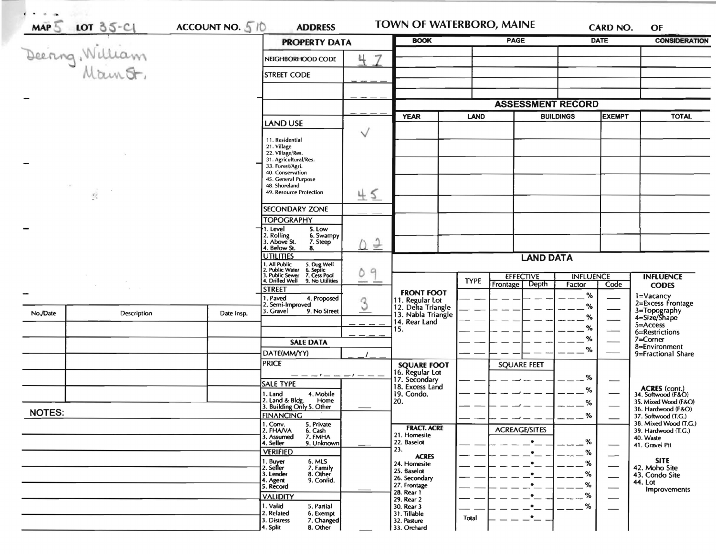| LOT 35-C1<br>MAP5 William |                                 |                                                     | <b>PROPERTY DATA</b>                                                                                                                                        | <b>BOOK</b>        |                                          | <b>PAGE</b>                          |                      | <b>DATE</b> | <b>CONSIDERATION</b>     |                                           |
|---------------------------|---------------------------------|-----------------------------------------------------|-------------------------------------------------------------------------------------------------------------------------------------------------------------|--------------------|------------------------------------------|--------------------------------------|----------------------|-------------|--------------------------|-------------------------------------------|
|                           |                                 |                                                     | NEIGHBORHOOD CODE                                                                                                                                           | 7<br>4             |                                          |                                      |                      |             |                          |                                           |
|                           |                                 |                                                     | <b>STREET CODE</b>                                                                                                                                          |                    |                                          |                                      |                      |             |                          |                                           |
|                           |                                 |                                                     |                                                                                                                                                             |                    |                                          |                                      |                      |             |                          |                                           |
|                           |                                 |                                                     |                                                                                                                                                             |                    |                                          | <b>ASSESSMENT RECORD</b>             |                      |             |                          |                                           |
|                           |                                 |                                                     |                                                                                                                                                             |                    | <b>YEAR</b><br><b>LAND</b>               |                                      | <b>BUILDINGS</b>     |             | <b>EXEMPT</b>            | <b>TOTAL</b>                              |
|                           |                                 |                                                     | LAND USE                                                                                                                                                    |                    |                                          |                                      |                      |             |                          |                                           |
|                           |                                 |                                                     | 11. Residential<br>21. Village<br>22. Village/Res.<br>31. Agricultural/Res.<br>33. Forest/Agri.<br>40. Conservation<br>45. General Purpose<br>48. Shoreland | $\checkmark$       |                                          |                                      |                      |             |                          |                                           |
|                           | $\sim$<br>$\chi^{\omega}_{\xi}$ |                                                     | 49. Resource Protection                                                                                                                                     | 45                 |                                          |                                      |                      |             |                          |                                           |
|                           |                                 |                                                     | <b>SECONDARY ZONE</b>                                                                                                                                       |                    |                                          |                                      |                      |             |                          |                                           |
|                           |                                 |                                                     | <b>TOPOGRAPHY</b>                                                                                                                                           |                    |                                          |                                      |                      |             |                          |                                           |
|                           |                                 |                                                     | 1. Level<br>5. Low<br>2. Rolling<br>3. Above St.<br>6. Swampy<br>7. Steep<br>Below St.<br>8.                                                                | <u>() 2</u>        |                                          |                                      |                      |             |                          |                                           |
|                           |                                 |                                                     | <b>UTILITIES</b>                                                                                                                                            | $\mathcal{Q}$<br>Ď | <b>LAND DATA</b>                         |                                      |                      |             |                          |                                           |
|                           |                                 |                                                     | . All Public<br>!. Public Water<br>!. Public Sewer<br>5. Dug Well<br>6. Septic<br>7. Cess Pool                                                              |                    |                                          | <b>EFFECTIVE</b><br><b>INFLUENCE</b> |                      |             |                          | <b>INFLUENCE</b>                          |
|                           |                                 | 4. Drilled Well<br>9. No Utilities<br><b>STREET</b> |                                                                                                                                                             |                    | <b>TYPE</b>                              | Depth<br>Frontage                    | Factor               | Code        | <b>CODES</b>             |                                           |
|                           |                                 |                                                     | . Paved<br>4. Proposed                                                                                                                                      | Q                  | <b>FRONT FOOT</b><br>11. Regular Lot     |                                      |                      | %           |                          | 1=Vacancy<br>2=Excess Frontage            |
| No./Date                  | Description                     | Date Insp.                                          | 2. Semi-Improved<br>3. Gravel<br>9. No Street                                                                                                               |                    | 12. Delta Triangle<br>13. Nabla Triangle |                                      |                      | %<br>%      |                          | 3=Topography<br>4=Size/Shape              |
|                           |                                 |                                                     |                                                                                                                                                             |                    | 14. Rear Land<br>15.                     |                                      |                      | %           |                          | $5 =$ Access                              |
|                           |                                 |                                                     | <b>SALE DATA</b>                                                                                                                                            |                    |                                          |                                      |                      | %           |                          | 6=Restrictions<br>7=Corner                |
|                           |                                 |                                                     | DATE(MM/YY)                                                                                                                                                 |                    |                                          |                                      |                      | $\%$        |                          | 8=Environment<br>9=Fractional Share       |
|                           |                                 |                                                     | <b>PRICE</b>                                                                                                                                                |                    | <b>SQUARE FOOT</b>                       |                                      | <b>SQUARE FEET</b>   |             |                          |                                           |
|                           |                                 |                                                     | $-- - - - - - - -$                                                                                                                                          |                    | 16. Regular Lot<br>17. Secondary         |                                      |                      | %           |                          |                                           |
|                           |                                 |                                                     | SALE TYPE                                                                                                                                                   |                    | 18. Excess Land                          |                                      |                      | %           |                          | ACRES (cont.)<br>34. Softwood (F&O)       |
|                           |                                 |                                                     | 4. Mobile<br>1. Land<br>2. Land & Bldg. Home<br>3. Building Only 5. Other<br>Home                                                                           |                    | 19. Condo.<br>20.                        |                                      |                      | %           |                          | 35. Mixed Wood (F&O)                      |
| <b>NOTES:</b>             |                                 |                                                     | <b>FINANCING</b>                                                                                                                                            |                    |                                          |                                      |                      | $---%$      |                          | 36. Hardwood (F&O)<br>37. Softwood (T.G.) |
|                           |                                 | 1. Conv.<br>5. Private                              |                                                                                                                                                             | <b>FRACT. ACRE</b> |                                          | ——<br><b>ACREAGE/SITES</b>           |                      |             | 38. Mixed Wood (T.G.)    |                                           |
|                           |                                 |                                                     | 2. FHAVA<br>6. Cash<br>3. Assumed<br>7. FMHA                                                                                                                |                    | 21. Homesite<br>22. Baselot              |                                      | ٠                    | %           |                          | 39. Hardwood (T.G.)<br>40. Waste          |
|                           |                                 |                                                     | 4. Seller<br>9. Unknown<br><b>VERIFIED</b>                                                                                                                  |                    | 23.                                      |                                      | $\bullet$            | %           |                          | 41. Gravel Pit                            |
|                           |                                 |                                                     | 1. Buyer<br>2. Seller<br>6. MLS<br>7. Family                                                                                                                |                    | <b>ACRES</b><br>24. Homesite             |                                      | ٠                    | %           | —                        | <b>SITE</b><br>42. Moho Site              |
|                           |                                 |                                                     | 3. Lender<br>8. Other                                                                                                                                       |                    | 25. Baselot<br>26. Secondary             |                                      |                      | %           | $\overline{\phantom{0}}$ | 43. Condo Site                            |
|                           |                                 |                                                     | 9. Confid.<br>4. Agent<br>5. Record                                                                                                                         |                    | 27. Frontage                             |                                      |                      | %           |                          | 44. Lot<br><b>Improvements</b>            |
|                           |                                 |                                                     | <b>VALIDITY</b>                                                                                                                                             |                    | 28. Rear 1<br>29. Rear 2                 |                                      |                      | %           |                          |                                           |
|                           |                                 |                                                     |                                                                                                                                                             |                    |                                          |                                      |                      |             |                          |                                           |
|                           |                                 |                                                     | 1. Valid<br>5. Partial<br>2. Related<br>6. Exempt                                                                                                           |                    | 30. Rear 3<br>31. Tillable               |                                      | $\bullet$<br>$\cdot$ | %           |                          |                                           |